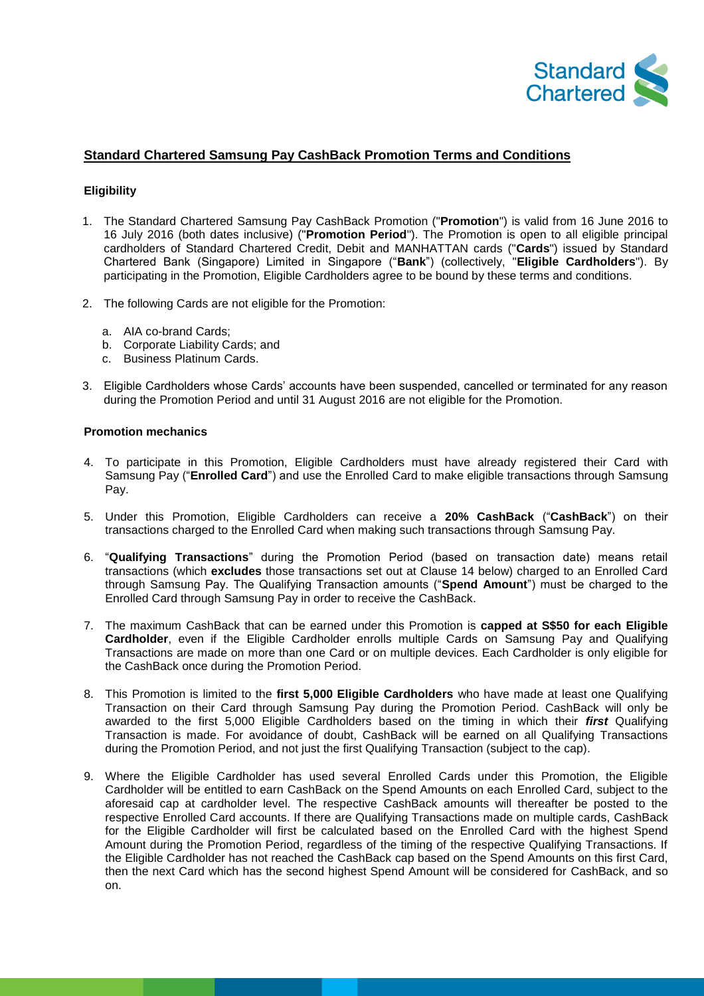

## **Standard Chartered Samsung Pay CashBack Promotion Terms and Conditions**

## **Eligibility**

- 1. The Standard Chartered Samsung Pay CashBack Promotion ("**Promotion**") is valid from 16 June 2016 to 16 July 2016 (both dates inclusive) ("**Promotion Period**"). The Promotion is open to all eligible principal cardholders of Standard Chartered Credit, Debit and MANHATTAN cards ("**Cards**") issued by Standard Chartered Bank (Singapore) Limited in Singapore ("**Bank**") (collectively, "**Eligible Cardholders**"). By participating in the Promotion, Eligible Cardholders agree to be bound by these terms and conditions.
- 2. The following Cards are not eligible for the Promotion:
	- a. AIA co-brand Cards;
	- b. Corporate Liability Cards; and
	- c. Business Platinum Cards.
- 3. Eligible Cardholders whose Cards' accounts have been suspended, cancelled or terminated for any reason during the Promotion Period and until 31 August 2016 are not eligible for the Promotion.

## **Promotion mechanics**

- 4. To participate in this Promotion, Eligible Cardholders must have already registered their Card with Samsung Pay ("**Enrolled Card**") and use the Enrolled Card to make eligible transactions through Samsung Pay.
- 5. Under this Promotion, Eligible Cardholders can receive a **20% CashBack** ("**CashBack**") on their transactions charged to the Enrolled Card when making such transactions through Samsung Pay.
- 6. "**Qualifying Transactions**" during the Promotion Period (based on transaction date) means retail transactions (which **excludes** those transactions set out at Clause 14 below) charged to an Enrolled Card through Samsung Pay. The Qualifying Transaction amounts ("**Spend Amount**") must be charged to the Enrolled Card through Samsung Pay in order to receive the CashBack.
- 7. The maximum CashBack that can be earned under this Promotion is **capped at S\$50 for each Eligible Cardholder**, even if the Eligible Cardholder enrolls multiple Cards on Samsung Pay and Qualifying Transactions are made on more than one Card or on multiple devices. Each Cardholder is only eligible for the CashBack once during the Promotion Period.
- 8. This Promotion is limited to the **first 5,000 Eligible Cardholders** who have made at least one Qualifying Transaction on their Card through Samsung Pay during the Promotion Period. CashBack will only be awarded to the first 5,000 Eligible Cardholders based on the timing in which their *first* Qualifying Transaction is made. For avoidance of doubt, CashBack will be earned on all Qualifying Transactions during the Promotion Period, and not just the first Qualifying Transaction (subject to the cap).
- 9. Where the Eligible Cardholder has used several Enrolled Cards under this Promotion, the Eligible Cardholder will be entitled to earn CashBack on the Spend Amounts on each Enrolled Card, subject to the aforesaid cap at cardholder level. The respective CashBack amounts will thereafter be posted to the respective Enrolled Card accounts. If there are Qualifying Transactions made on multiple cards, CashBack for the Eligible Cardholder will first be calculated based on the Enrolled Card with the highest Spend Amount during the Promotion Period, regardless of the timing of the respective Qualifying Transactions. If the Eligible Cardholder has not reached the CashBack cap based on the Spend Amounts on this first Card, then the next Card which has the second highest Spend Amount will be considered for CashBack, and so on.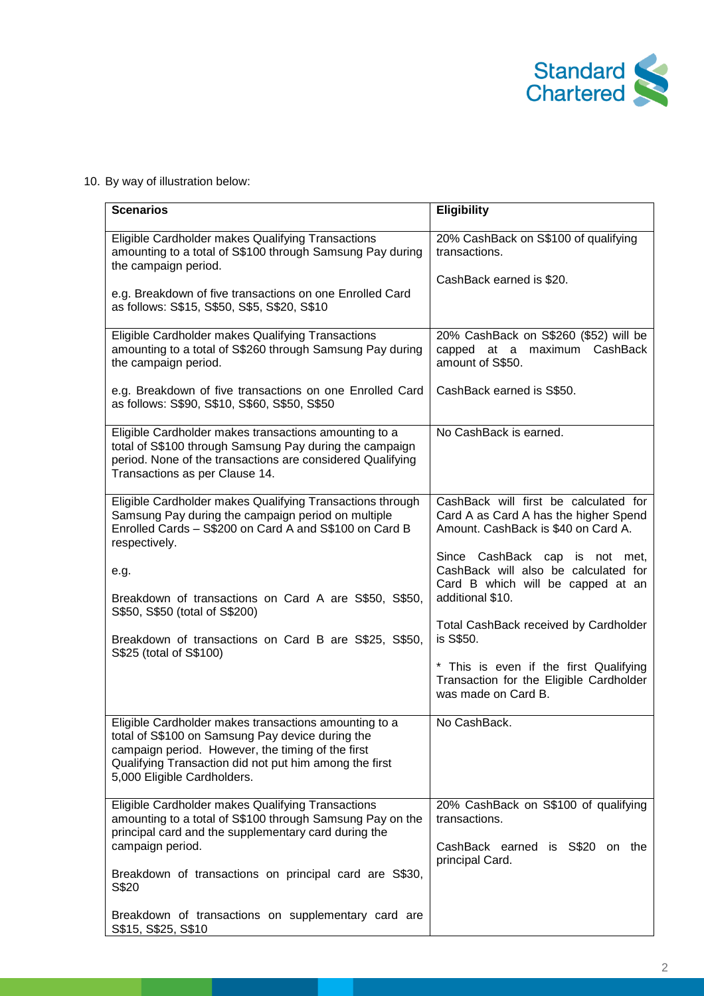

10. By way of illustration below:

| <b>Scenarios</b>                                                                                                                                                                                                                                        | <b>Eligibility</b>                                                                                                              |
|---------------------------------------------------------------------------------------------------------------------------------------------------------------------------------------------------------------------------------------------------------|---------------------------------------------------------------------------------------------------------------------------------|
| Eligible Cardholder makes Qualifying Transactions<br>amounting to a total of S\$100 through Samsung Pay during<br>the campaign period.                                                                                                                  | 20% CashBack on S\$100 of qualifying<br>transactions.                                                                           |
| e.g. Breakdown of five transactions on one Enrolled Card<br>as follows: S\$15, S\$50, S\$5, S\$20, S\$10                                                                                                                                                | CashBack earned is \$20.                                                                                                        |
| Eligible Cardholder makes Qualifying Transactions<br>amounting to a total of S\$260 through Samsung Pay during<br>the campaign period.                                                                                                                  | 20% CashBack on S\$260 (\$52) will be<br>capped at a maximum CashBack<br>amount of S\$50.                                       |
| e.g. Breakdown of five transactions on one Enrolled Card<br>as follows: S\$90, S\$10, S\$60, S\$50, S\$50                                                                                                                                               | CashBack earned is S\$50.                                                                                                       |
| Eligible Cardholder makes transactions amounting to a<br>total of S\$100 through Samsung Pay during the campaign<br>period. None of the transactions are considered Qualifying<br>Transactions as per Clause 14.                                        | No CashBack is earned.                                                                                                          |
| Eligible Cardholder makes Qualifying Transactions through<br>Samsung Pay during the campaign period on multiple<br>Enrolled Cards - S\$200 on Card A and S\$100 on Card B<br>respectively.                                                              | CashBack will first be calculated for<br>Card A as Card A has the higher Spend<br>Amount. CashBack is \$40 on Card A.           |
| e.g.<br>Breakdown of transactions on Card A are S\$50, S\$50,                                                                                                                                                                                           | Since CashBack cap is not met,<br>CashBack will also be calculated for<br>Card B which will be capped at an<br>additional \$10. |
| S\$50, S\$50 (total of S\$200)<br>Breakdown of transactions on Card B are S\$25, S\$50,<br>S\$25 (total of S\$100)                                                                                                                                      | Total CashBack received by Cardholder<br>is S\$50.                                                                              |
|                                                                                                                                                                                                                                                         | * This is even if the first Qualifying<br>Transaction for the Eligible Cardholder<br>was made on Card B.                        |
| Eligible Cardholder makes transactions amounting to a<br>total of S\$100 on Samsung Pay device during the<br>campaign period. However, the timing of the first<br>Qualifying Transaction did not put him among the first<br>5,000 Eligible Cardholders. | No CashBack.                                                                                                                    |
| Eligible Cardholder makes Qualifying Transactions<br>amounting to a total of S\$100 through Samsung Pay on the<br>principal card and the supplementary card during the<br>campaign period.                                                              | 20% CashBack on S\$100 of qualifying<br>transactions.<br>CashBack earned is S\$20 on the                                        |
| Breakdown of transactions on principal card are S\$30,<br>S\$20                                                                                                                                                                                         | principal Card.                                                                                                                 |
| Breakdown of transactions on supplementary card are<br>S\$15, S\$25, S\$10                                                                                                                                                                              |                                                                                                                                 |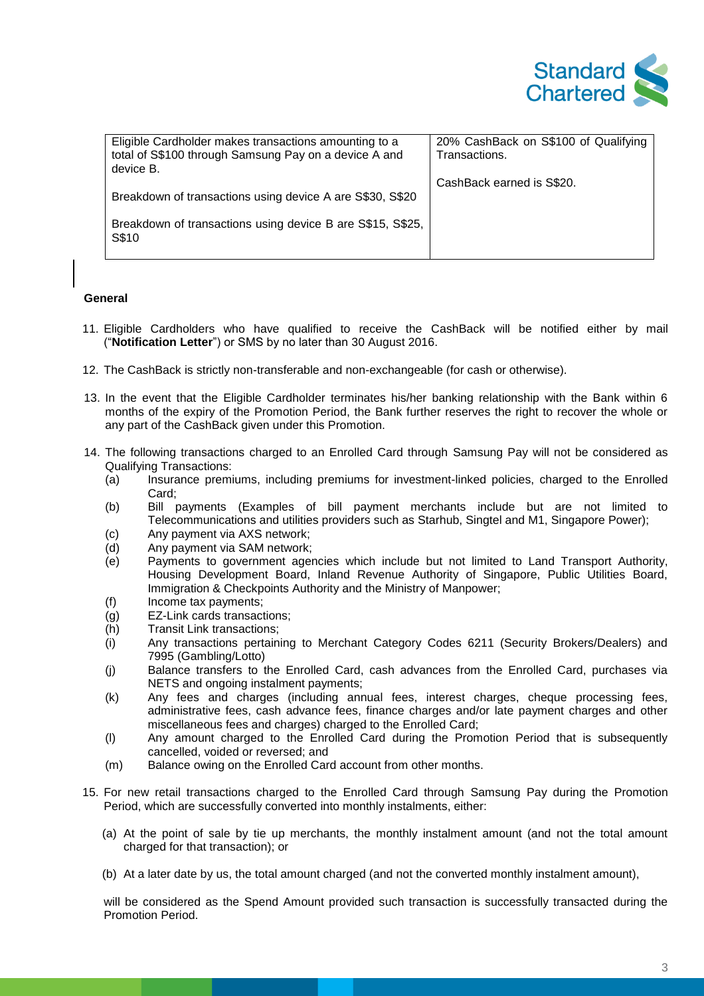

| Eligible Cardholder makes transactions amounting to a<br>total of S\$100 through Samsung Pay on a device A and<br>device B. | 20% CashBack on S\$100 of Qualifying<br>Transactions. |
|-----------------------------------------------------------------------------------------------------------------------------|-------------------------------------------------------|
| Breakdown of transactions using device A are S\$30, S\$20                                                                   | CashBack earned is S\$20.                             |
| Breakdown of transactions using device B are S\$15, S\$25,<br>S\$10                                                         |                                                       |

## **General**

- 11. Eligible Cardholders who have qualified to receive the CashBack will be notified either by mail ("**Notification Letter**") or SMS by no later than 30 August 2016.
- 12. The CashBack is strictly non-transferable and non-exchangeable (for cash or otherwise).
- 13. In the event that the Eligible Cardholder terminates his/her banking relationship with the Bank within 6 months of the expiry of the Promotion Period, the Bank further reserves the right to recover the whole or any part of the CashBack given under this Promotion.
- 14. The following transactions charged to an Enrolled Card through Samsung Pay will not be considered as Qualifying Transactions:
	- (a) Insurance premiums, including premiums for investment-linked policies, charged to the Enrolled Card;
	- (b) Bill payments (Examples of bill payment merchants include but are not limited to Telecommunications and utilities providers such as Starhub, Singtel and M1, Singapore Power);
	- (c) Any payment via AXS network;
	- (d) Any payment via SAM network;
	- (e) Payments to government agencies which include but not limited to Land Transport Authority, Housing Development Board, Inland Revenue Authority of Singapore, Public Utilities Board, Immigration & Checkpoints Authority and the Ministry of Manpower;
	- (f) Income tax payments;
	- (g) EZ-Link cards transactions;
	- (h) Transit Link transactions;
	- (i) Any transactions pertaining to Merchant Category Codes 6211 (Security Brokers/Dealers) and 7995 (Gambling/Lotto)
	- (j) Balance transfers to the Enrolled Card, cash advances from the Enrolled Card, purchases via NETS and ongoing instalment payments;
	- (k) Any fees and charges (including annual fees, interest charges, cheque processing fees, administrative fees, cash advance fees, finance charges and/or late payment charges and other miscellaneous fees and charges) charged to the Enrolled Card;
	- (l) Any amount charged to the Enrolled Card during the Promotion Period that is subsequently cancelled, voided or reversed; and
	- (m) Balance owing on the Enrolled Card account from other months.
- 15. For new retail transactions charged to the Enrolled Card through Samsung Pay during the Promotion Period, which are successfully converted into monthly instalments, either:
	- (a) At the point of sale by tie up merchants, the monthly instalment amount (and not the total amount charged for that transaction); or
	- (b) At a later date by us, the total amount charged (and not the converted monthly instalment amount),

will be considered as the Spend Amount provided such transaction is successfully transacted during the Promotion Period.